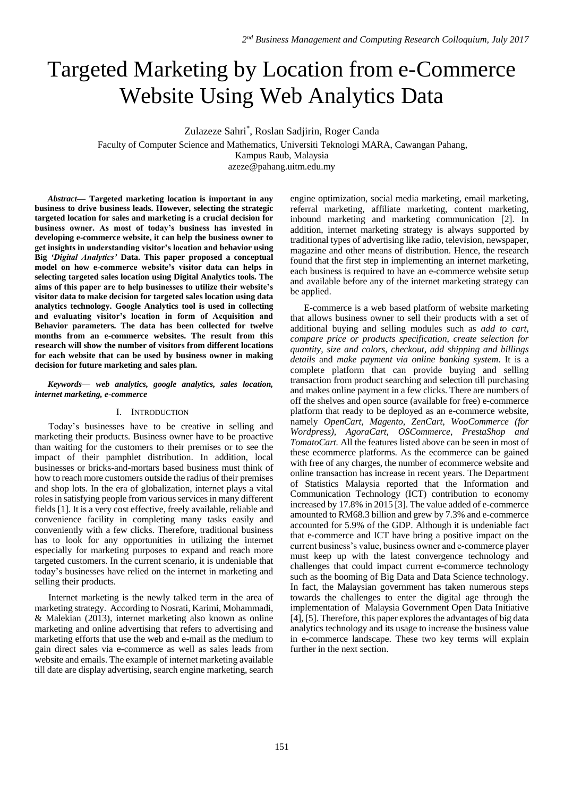# Targeted Marketing by Location from e-Commerce Website Using Web Analytics Data

Zulazeze Sahri\* , Roslan Sadjirin, Roger Canda

Faculty of Computer Science and Mathematics, Universiti Teknologi MARA, Cawangan Pahang,

Kampus Raub, Malaysia

azeze@pahang.uitm.edu.my

*Abstract***— Targeted marketing location is important in any business to drive business leads. However, selecting the strategic targeted location for sales and marketing is a crucial decision for business owner. As most of today's business has invested in developing e-commerce website, it can help the business owner to get insights in understanding visitor's location and behavior using Big** *'Digital Analytics'* **Data. This paper proposed a conceptual model on how e-commerce website's visitor data can helps in selecting targeted sales location using Digital Analytics tools. The aims of this paper are to help businesses to utilize their website's visitor data to make decision for targeted sales location using data analytics technology. Google Analytics tool is used in collecting and evaluating visitor's location in form of Acquisition and Behavior parameters. The data has been collected for twelve months from an e-commerce websites. The result from this research will show the number of visitors from different locations for each website that can be used by business owner in making decision for future marketing and sales plan.**

#### *Keywords— web analytics, google analytics, sales location, internet marketing, e-commerce*

## I. INTRODUCTION

Today's businesses have to be creative in selling and marketing their products. Business owner have to be proactive than waiting for the customers to their premises or to see the impact of their pamphlet distribution. In addition, local businesses or bricks-and-mortars based business must think of how to reach more customers outside the radius of their premises and shop lots. In the era of globalization, internet plays a vital roles in satisfying people from various services in many different fields [1]. It is a very cost effective, freely available, reliable and convenience facility in completing many tasks easily and conveniently with a few clicks. Therefore, traditional business has to look for any opportunities in utilizing the internet especially for marketing purposes to expand and reach more targeted customers. In the current scenario, it is undeniable that today's businesses have relied on the internet in marketing and selling their products.

Internet marketing is the newly talked term in the area of marketing strategy. According to Nosrati, Karimi, Mohammadi, & Malekian (2013), internet marketing also known as online marketing and online advertising that refers to advertising and marketing efforts that use the web and e-mail as the medium to gain direct sales via e-commerce as well as sales leads from website and emails. The example of internet marketing available till date are display advertising, search engine marketing, search

engine optimization, social media marketing, email marketing, referral marketing, affiliate marketing, content marketing, inbound marketing and marketing communication [2]. In addition, internet marketing strategy is always supported by traditional types of advertising like radio, television, newspaper, magazine and other means of distribution. Hence, the research found that the first step in implementing an internet marketing, each business is required to have an e-commerce website setup and available before any of the internet marketing strategy can be applied.

E-commerce is a web based platform of website marketing that allows business owner to sell their products with a set of additional buying and selling modules such as *add to cart*, *compare price or products specification, create selection for quantity, size and colors, checkout, add shipping and billings details* and *make payment via online banking system*. It is a complete platform that can provide buying and selling transaction from product searching and selection till purchasing and makes online payment in a few clicks. There are numbers of off the shelves and open source (available for free) e-commerce platform that ready to be deployed as an e-commerce website, namely *OpenCart, Magento, ZenCart, WooCommerce (for Wordpress), AgoraCart, OSCommerce, PrestaShop and TomatoCart.* All the features listed above can be seen in most of these ecommerce platforms. As the ecommerce can be gained with free of any charges, the number of ecommerce website and online transaction has increase in recent years. The Department of Statistics Malaysia reported that the Information and Communication Technology (ICT) contribution to economy increased by 17.8% in 2015 [3]. The value added of e-commerce amounted to RM68.3 billion and grew by 7.3% and e-commerce accounted for 5.9% of the GDP. Although it is undeniable fact that e-commerce and ICT have bring a positive impact on the current business's value, business owner and e-commerce player must keep up with the latest convergence technology and challenges that could impact current e-commerce technology such as the booming of Big Data and Data Science technology. In fact, the Malaysian government has taken numerous steps towards the challenges to enter the digital age through the implementation of Malaysia Government Open Data Initiative [4], [5]. Therefore, this paper explores the advantages of big data analytics technology and its usage to increase the business value in e-commerce landscape. These two key terms will explain further in the next section.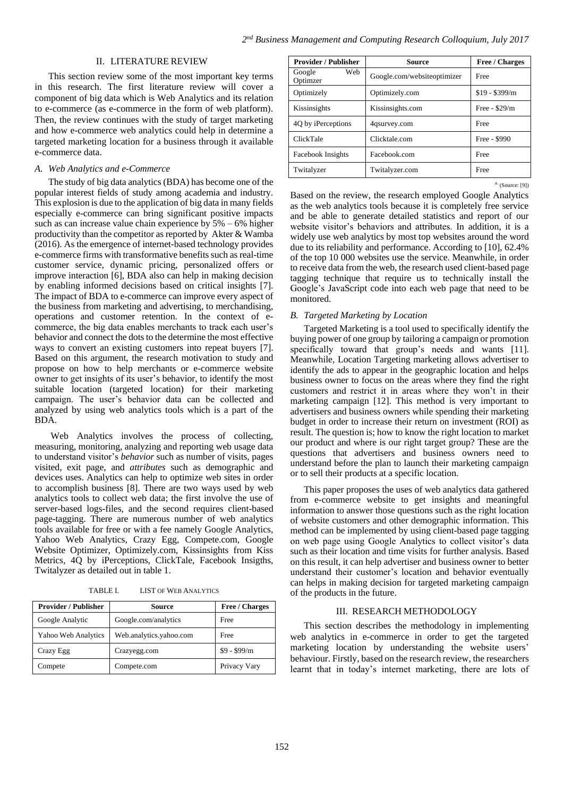### II. LITERATURE REVIEW

This section review some of the most important key terms in this research. The first literature review will cover a component of big data which is Web Analytics and its relation to e-commerce (as e-commerce in the form of web platform). Then, the review continues with the study of target marketing and how e-commerce web analytics could help in determine a targeted marketing location for a business through it available e-commerce data.

#### *A. Web Analytics and e-Commerce*

The study of big data analytics (BDA) has become one of the popular interest fields of study among academia and industry. This explosion is due to the application of big data in many fields especially e-commerce can bring significant positive impacts such as can increase value chain experience by  $5\% - 6\%$  higher productivity than the competitor as reported by Akter & Wamba (2016). As the emergence of internet-based technology provides e-commerce firms with transformative benefits such as real-time customer service, dynamic pricing, personalized offers or improve interaction [6], BDA also can help in making decision by enabling informed decisions based on critical insights [7]. The impact of BDA to e-commerce can improve every aspect of the business from marketing and advertising, to merchandising, operations and customer retention. In the context of ecommerce, the big data enables merchants to track each user's behavior and connect the dots to the determine the most effective ways to convert an existing customers into repeat buyers [7]. Based on this argument, the research motivation to study and propose on how to help merchants or e-commerce website owner to get insights of its user's behavior, to identify the most suitable location (targeted location) for their marketing campaign. The user's behavior data can be collected and analyzed by using web analytics tools which is a part of the BDA.

Web Analytics involves the process of collecting, measuring, monitoring, analyzing and reporting web usage data to understand visitor's *behavior* such as number of visits, pages visited, exit page, and *attributes* such as demographic and devices uses. Analytics can help to optimize web sites in order to accomplish business [8]. There are two ways used by web analytics tools to collect web data; the first involve the use of server-based logs-files, and the second requires client-based page-tagging. There are numerous number of web analytics tools available for free or with a fee namely Google Analytics, Yahoo Web Analytics, Crazy Egg, Compete.com, Google Website Optimizer, Optimizely.com, Kissinsights from Kiss Metrics, 4Q by iPerceptions, ClickTale, Facebook Insigths, Twitalyzer as detailed out in table 1.

| <b>Provider / Publisher</b> | Source                  | <b>Free / Charges</b> |
|-----------------------------|-------------------------|-----------------------|
| Google Analytic             | Google.com/analytics    | Free                  |
| Yahoo Web Analytics         | Web.analytics.yahoo.com | Free                  |
| Crazy Egg                   | Crazyegg.com            | $$9 - $99/m$          |
| Compete                     | Compete.com             | Privacy Vary          |

TABLE I. LIST OF WEB ANALYTICS

| <b>Provider / Publisher</b> | Source                      | <b>Free / Charges</b> |
|-----------------------------|-----------------------------|-----------------------|
| Web<br>Google<br>Optimzer   | Google.com/websiteoptimizer | Free                  |
| Optimizely                  | Optimizely.com              | $$19 - $399/m$        |
| Kissinsights                | Kissinsights.com            | Free - $$29/m$        |
| 4Q by iPerceptions          | 4qsurvey.com                | Free                  |
| ClickTale                   | Clicktale.com               | Free - \$990          |
| Facebook Insights           | Facebook.com                | Free                  |
| Twitalyzer                  | Twitalyzer.com              | Free                  |

a. (Source: [9])

Based on the review, the research employed Google Analytics as the web analytics tools because it is completely free service and be able to generate detailed statistics and report of our website visitor's behaviors and attributes. In addition, it is a widely use web analytics by most top websites around the word due to its reliability and performance. According to [10], 62.4% of the top 10 000 websites use the service. Meanwhile, in order to receive data from the web, the research used client-based page tagging technique that require us to technically install the Google's JavaScript code into each web page that need to be monitored.

### *B. Targeted Marketing by Location*

Targeted Marketing is a tool used to specifically identify the buying power of one group by tailoring a campaign or promotion specifically toward that group's needs and wants [11]. Meanwhile, Location Targeting marketing allows advertiser to identify the ads to appear in the geographic location and helps business owner to focus on the areas where they find the right customers and restrict it in areas where they won't in their marketing campaign [12]. This method is very important to advertisers and business owners while spending their marketing budget in order to increase their return on investment (ROI) as result. The question is; how to know the right location to market our product and where is our right target group? These are the questions that advertisers and business owners need to understand before the plan to launch their marketing campaign or to sell their products at a specific location.

This paper proposes the uses of web analytics data gathered from e-commerce website to get insights and meaningful information to answer those questions such as the right location of website customers and other demographic information. This method can be implemented by using client-based page tagging on web page using Google Analytics to collect visitor's data such as their location and time visits for further analysis. Based on this result, it can help advertiser and business owner to better understand their customer's location and behavior eventually can helps in making decision for targeted marketing campaign of the products in the future.

#### III. RESEARCH METHODOLOGY

This section describes the methodology in implementing web analytics in e-commerce in order to get the targeted marketing location by understanding the website users' behaviour. Firstly, based on the research review, the researchers learnt that in today's internet marketing, there are lots of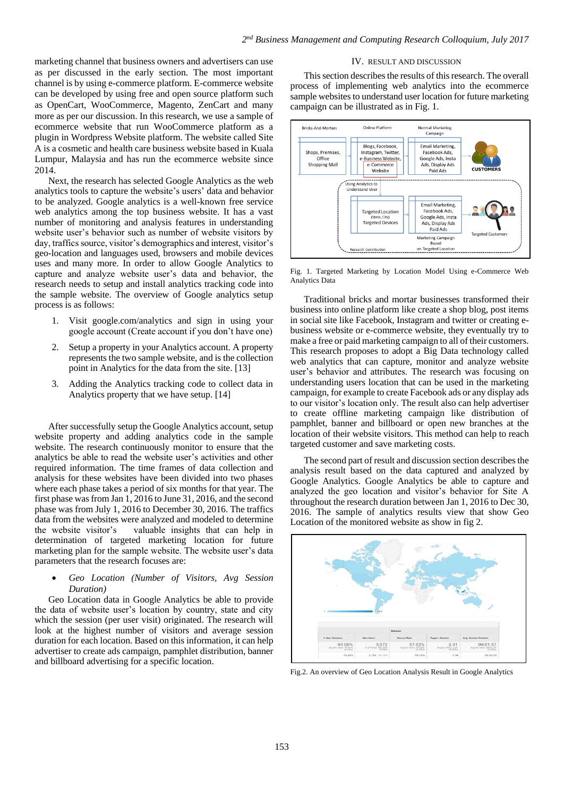marketing channel that business owners and advertisers can use as per discussed in the early section. The most important channel is by using e-commerce platform. E-commerce website can be developed by using free and open source platform such as OpenCart, WooCommerce, Magento, ZenCart and many more as per our discussion. In this research, we use a sample of ecommerce website that run WooCommerce platform as a plugin in Wordpress Website platform. The website called Site A is a cosmetic and health care business website based in Kuala Lumpur, Malaysia and has run the ecommerce website since 2014.

Next, the research has selected Google Analytics as the web analytics tools to capture the website's users' data and behavior to be analyzed. Google analytics is a well-known free service web analytics among the top business website. It has a vast number of monitoring and analysis features in understanding website user's behavior such as number of website visitors by day, traffics source, visitor's demographics and interest, visitor's geo-location and languages used, browsers and mobile devices uses and many more. In order to allow Google Analytics to capture and analyze website user's data and behavior, the research needs to setup and install analytics tracking code into the sample website. The overview of Google analytics setup process is as follows:

- 1. Visit google.com/analytics and sign in using your google account (Create account if you don't have one)
- 2. Setup a property in your Analytics account. A property represents the two sample website, and is the collection point in Analytics for the data from the site. [13]
- 3. Adding the Analytics tracking code to collect data in Analytics property that we have setup. [14]

After successfully setup the Google Analytics account, setup website property and adding analytics code in the sample website. The research continuously monitor to ensure that the analytics be able to read the website user's activities and other required information. The time frames of data collection and analysis for these websites have been divided into two phases where each phase takes a period of six months for that year. The first phase was from Jan 1, 2016 to June 31, 2016, and the second phase was from July 1, 2016 to December 30, 2016. The traffics data from the websites were analyzed and modeled to determine the website visitor's valuable insights that can help in determination of targeted marketing location for future marketing plan for the sample website. The website user's data parameters that the research focuses are:

 *Geo Location (Number of Visitors, Avg Session Duration)*

Geo Location data in Google Analytics be able to provide the data of website user's location by country, state and city which the session (per user visit) originated. The research will look at the highest number of visitors and average session duration for each location. Based on this information, it can help advertiser to create ads campaign, pamphlet distribution, banner and billboard advertising for a specific location.

# IV. RESULT AND DISCUSSION

This section describes the results of this research. The overall process of implementing web analytics into the ecommerce sample websites to understand user location for future marketing campaign can be illustrated as in Fig. 1.



Fig. 1. Targeted Marketing by Location Model Using e-Commerce Web Analytics Data

Traditional bricks and mortar businesses transformed their business into online platform like create a shop blog, post items in social site like Facebook, Instagram and twitter or creating ebusiness website or e-commerce website, they eventually try to make a free or paid marketing campaign to all of their customers. This research proposes to adopt a Big Data technology called web analytics that can capture, monitor and analyze website user's behavior and attributes. The research was focusing on understanding users location that can be used in the marketing campaign, for example to create Facebook ads or any display ads to our visitor's location only. The result also can help advertiser to create offline marketing campaign like distribution of pamphlet, banner and billboard or open new branches at the location of their website visitors. This method can help to reach targeted customer and save marketing costs.

The second part of result and discussion section describes the analysis result based on the data captured and analyzed by Google Analytics. Google Analytics be able to capture and analyzed the geo location and visitor's behavior for Site A throughout the research duration between Jan 1, 2016 to Dec 30, 2016. The sample of analytics results view that show Geo Location of the monitored website as show in fig 2.



Fig.2. An overview of Geo Location Analysis Result in Google Analytics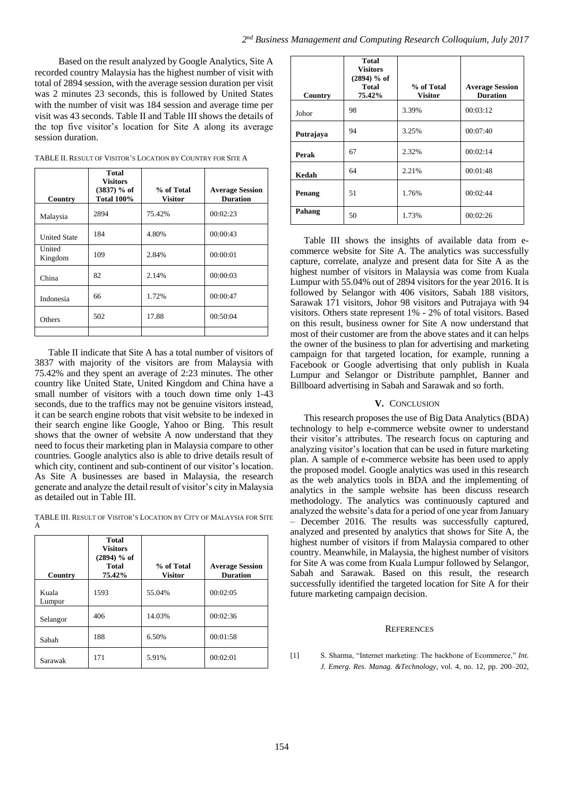Based on the result analyzed by Google Analytics, Site A recorded country Malaysia has the highest number of visit with total of 2894 session, with the average session duration per visit was 2 minutes 23 seconds, this is followed by United States with the number of visit was 184 session and average time per visit was 43 seconds. Table II and Table III shows the details of the top five visitor's location for Site A along its average session duration.

| TABLE II. RESULT OF VISITOR'S LOCATION BY COUNTRY FOR SITE A |  |  |
|--------------------------------------------------------------|--|--|
|--------------------------------------------------------------|--|--|

| Country             | <b>Total</b><br><b>Visitors</b><br>$(3837)$ % of<br><b>Total 100%</b> | % of Total<br><b>Visitor</b> | <b>Average Session</b><br><b>Duration</b> |
|---------------------|-----------------------------------------------------------------------|------------------------------|-------------------------------------------|
| Malaysia            | 2894                                                                  | 75.42%                       | 00:02:23                                  |
| <b>United State</b> | 184                                                                   | 4.80%                        | 00:00:43                                  |
| United<br>Kingdom   | 109                                                                   | 2.84%                        | 00:00:01                                  |
| China               | 82                                                                    | 2.14%                        | 00:00:03                                  |
| Indonesia           | 66                                                                    | 1.72%                        | 00:00:47                                  |
| Others              | 502                                                                   | 17.88                        | 00:50:04                                  |
|                     |                                                                       |                              |                                           |

Table II indicate that Site A has a total number of visitors of 3837 with majority of the visitors are from Malaysia with 75.42% and they spent an average of 2:23 minutes. The other country like United State, United Kingdom and China have a small number of visitors with a touch down time only 1-43 seconds, due to the traffics may not be genuine visitors instead, it can be search engine robots that visit website to be indexed in their search engine like Google, Yahoo or Bing. This result shows that the owner of website A now understand that they need to focus their marketing plan in Malaysia compare to other countries. Google analytics also is able to drive details result of which city, continent and sub-continent of our visitor's location. As Site A businesses are based in Malaysia, the research generate and analyze the detail result of visitor's city in Malaysia as detailed out in Table III.

TABLE III. RESULT OF VISITOR'S LOCATION BY CITY OF MALAYSIA FOR SITE A

| Country         | <b>Total</b><br><b>Visitors</b><br>$(2894)$ % of<br>Total<br>75.42% | % of Total<br><b>Visitor</b> | <b>Average Session</b><br><b>Duration</b> |
|-----------------|---------------------------------------------------------------------|------------------------------|-------------------------------------------|
| Kuala<br>Lumpur | 1593                                                                | 55.04%                       | 00:02:05                                  |
| Selangor        | 406                                                                 | 14.03%                       | 00:02:36                                  |
| Sabah           | 188                                                                 | 6.50%                        | 00:01:58                                  |
| Sarawak         | 171                                                                 | 5.91%                        | 00:02:01                                  |

| Country   | <b>Total</b><br><b>Visitors</b><br>$(2894)$ % of<br>Total<br>75.42% | % of Total<br><b>Visitor</b> | <b>Average Session</b><br><b>Duration</b> |
|-----------|---------------------------------------------------------------------|------------------------------|-------------------------------------------|
| Johor     | 98                                                                  | 3.39%                        | 00:03:12                                  |
| Putrajaya | 94                                                                  | 3.25%                        | 00:07:40                                  |
| Perak     | 67                                                                  | 2.32%                        | 00:02:14                                  |
| Kedah     | 64                                                                  | 2.21%                        | 00:01:48                                  |
| Penang    | 51                                                                  | 1.76%                        | 00:02:44                                  |
| Pahang    | 50                                                                  | 1.73%                        | 00:02:26                                  |

Table III shows the insights of available data from ecommerce website for Site A. The analytics was successfully capture, correlate, analyze and present data for Site A as the highest number of visitors in Malaysia was come from Kuala Lumpur with 55.04% out of 2894 visitors for the year 2016. It is followed by Selangor with 406 visitors, Sabah 188 visitors, Sarawak 171 visitors, Johor 98 visitors and Putrajaya with 94 visitors. Others state represent 1% - 2% of total visitors. Based on this result, business owner for Site A now understand that most of their customer are from the above states and it can helps the owner of the business to plan for advertising and marketing campaign for that targeted location, for example, running a Facebook or Google advertising that only publish in Kuala Lumpur and Selangor or Distribute pamphlet, Banner and Billboard advertising in Sabah and Sarawak and so forth.

### **V.** CONCLUSION

This research proposes the use of Big Data Analytics (BDA) technology to help e-commerce website owner to understand their visitor's attributes. The research focus on capturing and analyzing visitor's location that can be used in future marketing plan. A sample of e-commerce website has been used to apply the proposed model. Google analytics was used in this research as the web analytics tools in BDA and the implementing of analytics in the sample website has been discuss research methodology. The analytics was continuously captured and analyzed the website's data for a period of one year from January – December 2016. The results was successfully captured, analyzed and presented by analytics that shows for Site A, the highest number of visitors if from Malaysia compared to other country. Meanwhile, in Malaysia, the highest number of visitors for Site A was come from Kuala Lumpur followed by Selangor, Sabah and Sarawak. Based on this result, the research successfully identified the targeted location for Site A for their future marketing campaign decision.

#### **REFERENCES**

[1] S. Sharma, "Internet marketing: The backbone of Ecommerce," *Int. J. Emerg. Res. Manag. &Technology*, vol. 4, no. 12, pp. 200–202,